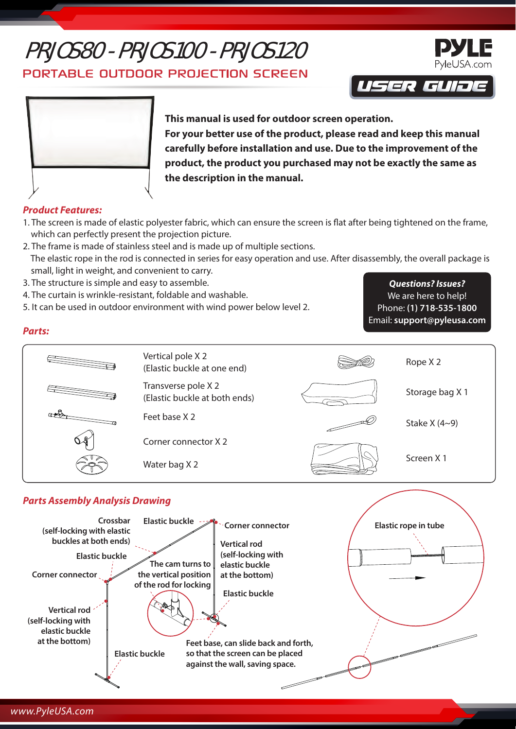# PRJOS80 - PRJOS100 - PRJOS120

PORTABLE OUTDOOR PROJECTION SCREEN





**This manual is used for outdoor screen operation. For your better use of the product, please read and keep this manual carefully before installation and use. Due to the improvement of the product, the product you purchased may not be exactly the same as the description in the manual.**

## *Product Features:*

*Parts:*

- 1. The screen is made of elastic polyester fabric, which can ensure the screen is flat after being tightened on the frame, which can perfectly present the projection picture.
- 2. The frame is made of stainless steel and is made up of multiple sections. The elastic rope in the rod is connected in series for easy operation and use. After disassembly, the overall package is small, light in weight, and convenient to carry.
- 3. The structure is simple and easy to assemble.
- 4. The curtain is wrinkle-resistant, foldable and washable.
- 5. It can be used in outdoor environment with wind power below level 2.

*Questions? Issues?* We are here to help! Phone: **(1) 718-535-1800** Email: **support@pyleusa.com**

Vertical pole X 2 (Elastic buckle at one end) Transverse pole X 2 (Elastic buckle at both ends) Feet base X 2 Corner connector X 2 Water bag X 2 Rope X 2 Storage bag X 1 Stake X (4~9) Screen X 1

## *Parts Assembly Analysis Drawing*



# *www.PyleUSA.com*